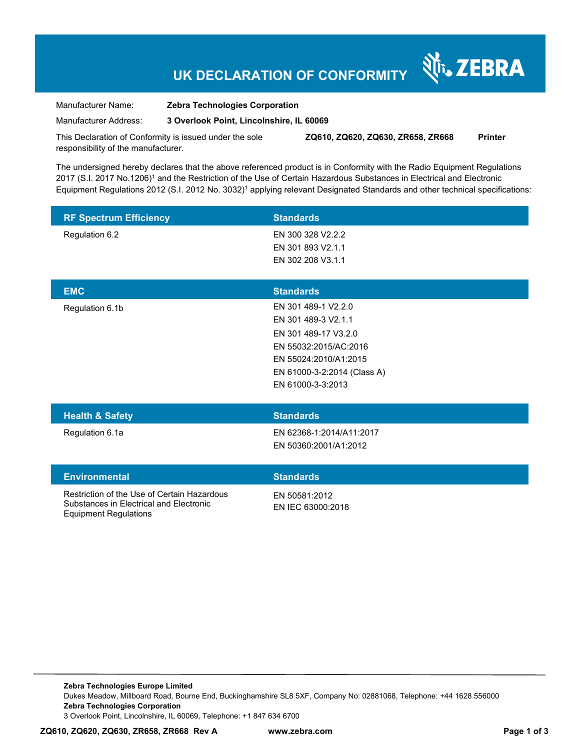# **UK DECLARATION OF CONFORMITY**

र्शे<sub>ं</sub> ZEBRA

Manufacturer Name: **Zebra Technologies Corporation** 

Manufacturer Address: **3 Overlook Point, Lincolnshire, IL 60069** 

This Declaration of Conformity is issued under the sole responsibility of the manufacturer. **ZQ610, ZQ620, ZQ630, ZR658, ZR668 Printer** 

The undersigned hereby declares that the above referenced product is in Conformity with the Radio Equipment Regulations 2017 (S.I. 2017 No.1206)<sup>1</sup> and the Restriction of the Use of Certain Hazardous Substances in Electrical and Electronic Equipment Regulations 2012 (S.I. 2012 No. 3032)<sup>1</sup> applying relevant Designated Standards and other technical specifications:

| <b>RF Spectrum Efficiency</b> | <b>Standards</b>  |  |
|-------------------------------|-------------------|--|
| Regulation 6.2                | EN 300 328 V2.2.2 |  |
|                               | EN 301 893 V2.1.1 |  |
|                               | EN 302 208 V3.1.1 |  |
|                               |                   |  |
| <b>EMC</b>                    | <b>Standards</b>  |  |

| <b>Health &amp; Safety</b> | <b>Standards</b>            |  |
|----------------------------|-----------------------------|--|
|                            | EN 61000-3-3:2013           |  |
|                            | EN 61000-3-2:2014 (Class A) |  |
|                            | EN 55024:2010/A1:2015       |  |
|                            | EN 55032:2015/AC:2016       |  |
|                            | EN 301 489-17 V3.2.0        |  |
|                            | EN 301 489-3 V2.1.1         |  |
| Regulation 6.1b            | EN 301 489-1 V2.2.0         |  |
|                            |                             |  |

Regulation 6.1a EN 62368-1:2014/A11:2017 EN 50360:2001/A1:2012

| <b>Environmental</b> |  |
|----------------------|--|
|                      |  |

Restriction of the Use of Certain Hazardous Substances in Electrical and Electronic Equipment Regulations

EN 50581:2012 EN IEC 63000:2018

**Standards** 

**Zebra Technologies Europe Limited**  Dukes Meadow, Millboard Road, Bourne End, Buckinghamshire SL8 5XF, Company No: 02881068, Telephone: +44 1628 556000 **Zebra Technologies Corporation**  3 Overlook Point, Lincolnshire, IL 60069, Telephone: +1 847 634 6700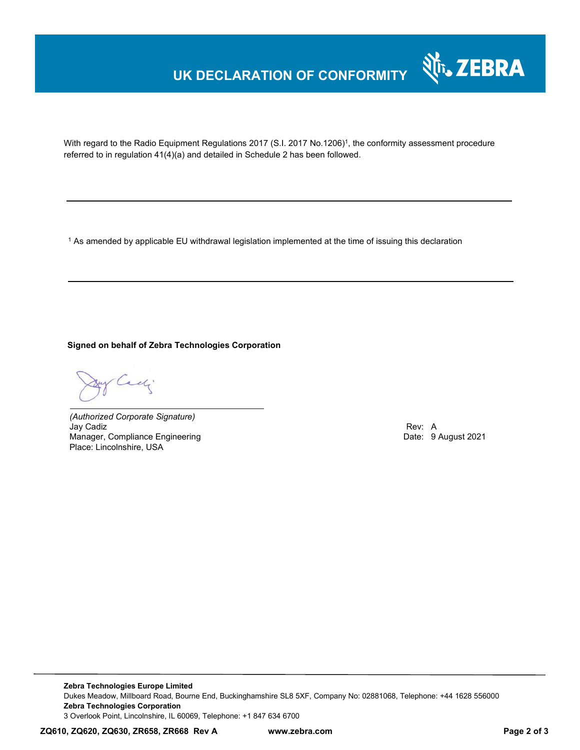## **UK DECLARATION OF CONFORMITY**



With regard to the Radio Equipment Regulations 2017 (S.I. 2017 No.1206)<sup>1</sup>, the conformity assessment procedure referred to in regulation 41(4)(a) and detailed in Schedule 2 has been followed.

 $^{\rm 1}$  As amended by applicable EU withdrawal legislation implemented at the time of issuing this declaration

**Signed on behalf of Zebra Technologies Corporation** 

y Cadi

*(Authorized Corporate Signature)* Jay Cadiz Rev: A Manager, Compliance Engineering Place: Lincolnshire, USA